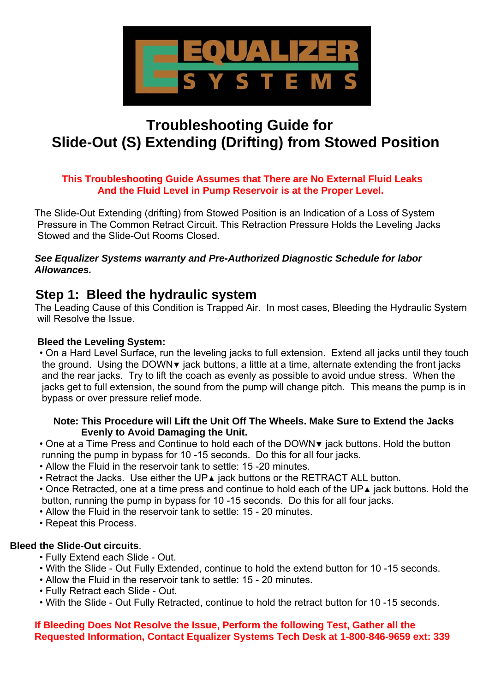

# **Troubleshooting Guide for Slide-Out (S) Extending (Drifting) from Stowed Position**

#### **This Troubleshooting Guide Assumes that There are No External Fluid Leaks And the Fluid Level in Pump Reservoir is at the Proper Level.**

 The Slide-Out Extending (drifting) from Stowed Position is an Indication of a Loss of System Pressure in The Common Retract Circuit. This Retraction Pressure Holds the Leveling Jacks Stowed and the Slide-Out Rooms Closed.

 *See Equalizer Systems warranty and Pre-Authorized Diagnostic Schedule for labor Allowances.* 

## **Step 1: Bleed the hydraulic system**

 The Leading Cause of this Condition is Trapped Air. In most cases, Bleeding the Hydraulic System will Resolve the Issue.

#### **Bleed the Leveling System:**

 • On a Hard Level Surface, run the leveling jacks to full extension. Extend all jacks until they touch the ground. Using the DOWN▼ jack buttons, a little at a time, alternate extending the front jacks and the rear jacks. Try to lift the coach as evenly as possible to avoid undue stress. When the jacks get to full extension, the sound from the pump will change pitch. This means the pump is in bypass or over pressure relief mode.

#### **Note: This Procedure will Lift the Unit Off The Wheels. Make Sure to Extend the Jacks Evenly to Avoid Damaging the Unit.**

 • One at a Time Press and Continue to hold each of the DOWN▼ jack buttons. Hold the button running the pump in bypass for 10 -15 seconds. Do this for all four jacks.

- Allow the Fluid in the reservoir tank to settle: 15 -20 minutes.
- Retract the Jacks. Use either the UP▲ jack buttons or the RETRACT ALL button.

 • Once Retracted, one at a time press and continue to hold each of the UP▲ jack buttons. Hold the button, running the pump in bypass for 10 -15 seconds. Do this for all four jacks.

- Allow the Fluid in the reservoir tank to settle: 15 20 minutes.
- Repeat this Process.

#### **Bleed the Slide-Out circuits**.

- Fully Extend each Slide Out.
- With the Slide Out Fully Extended, continue to hold the extend button for 10 -15 seconds.
- Allow the Fluid in the reservoir tank to settle: 15 20 minutes.
- Fully Retract each Slide Out.
- With the Slide Out Fully Retracted, continue to hold the retract button for 10 -15 seconds.

#### **If Bleeding Does Not Resolve the Issue, Perform the following Test, Gather all the Requested Information, Contact Equalizer Systems Tech Desk at 1-800-846-9659 ext: 339**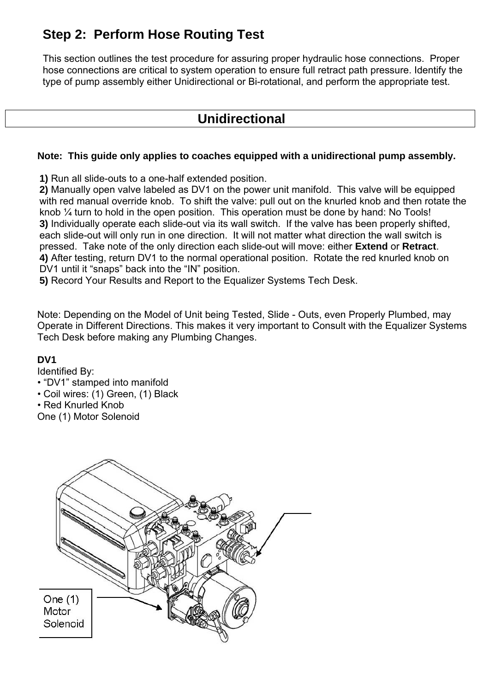## **Step 2: Perform Hose Routing Test**

 This section outlines the test procedure for assuring proper hydraulic hose connections. Proper hose connections are critical to system operation to ensure full retract path pressure. Identify the type of pump assembly either Unidirectional or Bi-rotational, and perform the appropriate test.

## **Unidirectional**

#### **Note: This guide only applies to coaches equipped with a unidirectional pump assembly.**

**1)** Run all slide-outs to a one-half extended position.

**2)** Manually open valve labeled as DV1 on the power unit manifold. This valve will be equipped with red manual override knob. To shift the valve: pull out on the knurled knob and then rotate the knob ¼ turn to hold in the open position. This operation must be done by hand: No Tools! **3)** Individually operate each slide-out via its wall switch. If the valve has been properly shifted, each slide-out will only run in one direction. It will not matter what direction the wall switch is pressed. Take note of the only direction each slide-out will move: either **Extend** or **Retract**. **4)** After testing, return DV1 to the normal operational position. Rotate the red knurled knob on DV1 until it "snaps" back into the "IN" position.

**5)** Record Your Results and Report to the Equalizer Systems Tech Desk.

 Note: Depending on the Model of Unit being Tested, Slide - Outs, even Properly Plumbed, may Operate in Different Directions. This makes it very important to Consult with the Equalizer Systems Tech Desk before making any Plumbing Changes.

#### **DV1**

Identified By:

- "DV1" stamped into manifold
- Coil wires: (1) Green, (1) Black

• Red Knurled Knob

One (1) Motor Solenoid

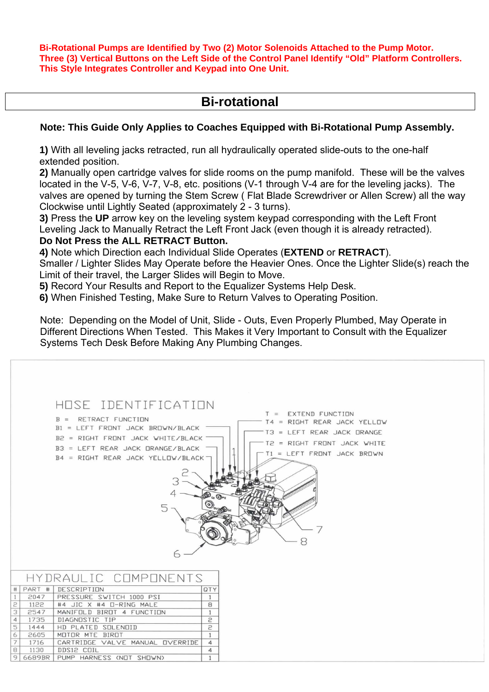**Bi-Rotational Pumps are Identified by Two (2) Motor Solenoids Attached to the Pump Motor. Three (3) Vertical Buttons on the Left Side of the Control Panel Identify "Old" Platform Controllers. This Style Integrates Controller and Keypad into One Unit.** 

## **Bi-rotational**

#### **Note: This Guide Only Applies to Coaches Equipped with Bi-Rotational Pump Assembly.**

**1)** With all leveling jacks retracted, run all hydraulically operated slide-outs to the one-half extended position.

**2)** Manually open cartridge valves for slide rooms on the pump manifold. These will be the valves located in the V-5, V-6, V-7, V-8, etc. positions (V-1 through V-4 are for the leveling jacks). The valves are opened by turning the Stem Screw ( Flat Blade Screwdriver or Allen Screw) all the way Clockwise until Lightly Seated (approximately 2 - 3 turns).

**3)** Press the **UP** arrow key on the leveling system keypad corresponding with the Left Front Leveling Jack to Manually Retract the Left Front Jack (even though it is already retracted).

#### **Do Not Press the ALL RETRACT Button.**

**4)** Note which Direction each Individual Slide Operates (**EXTEND** or **RETRACT**).

 Smaller / Lighter Slides May Operate before the Heavier Ones. Once the Lighter Slide(s) reach the Limit of their travel, the Larger Slides will Begin to Move.

**5)** Record Your Results and Report to the Equalizer Systems Help Desk.

**6)** When Finished Testing, Make Sure to Return Valves to Operating Position.

 Note: Depending on the Model of Unit, Slide - Outs, Even Properly Plumbed, May Operate in Different Directions When Tested. This Makes it Very Important to Consult with the Equalizer Systems Tech Desk Before Making Any Plumbing Changes.

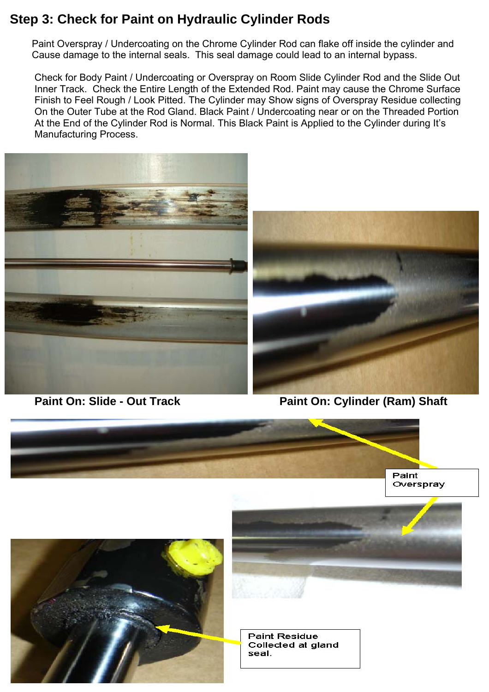## **Step 3: Check for Paint on Hydraulic Cylinder Rods**

 Paint Overspray / Undercoating on the Chrome Cylinder Rod can flake off inside the cylinder and Cause damage to the internal seals. This seal damage could lead to an internal bypass.

 Check for Body Paint / Undercoating or Overspray on Room Slide Cylinder Rod and the Slide Out Inner Track. Check the Entire Length of the Extended Rod. Paint may cause the Chrome Surface Finish to Feel Rough / Look Pitted. The Cylinder may Show signs of Overspray Residue collecting On the Outer Tube at the Rod Gland. Black Paint / Undercoating near or on the Threaded Portion At the End of the Cylinder Rod is Normal. This Black Paint is Applied to the Cylinder during It's Manufacturing Process.





 **Paint On: Slide - Out Track Paint On: Cylinder (Ram) Shaft** 







**Paint Residue** Collected at gland seal.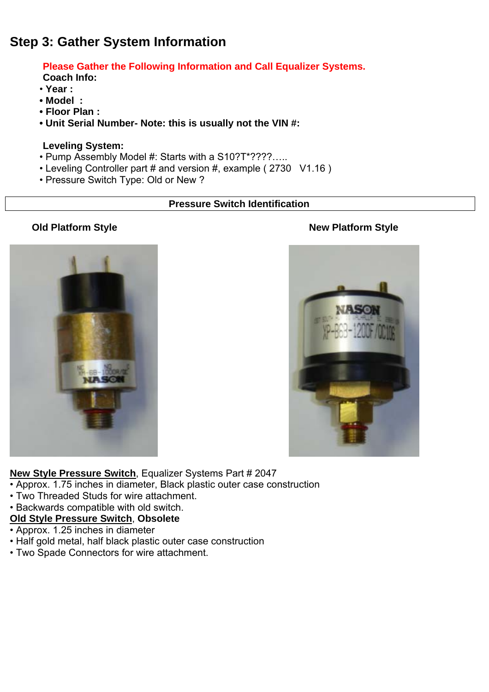## **Step 3: Gather System Information**

 **Please Gather the Following Information and Call Equalizer Systems.** 

 **Coach Info:** 

- **Year :**
- **Model :**
- **Floor Plan :**
- **Unit Serial Number- Note: this is usually not the VIN #:**

#### **Leveling System:**

- Pump Assembly Model #: Starts with a S10?T\*????…..
- Leveling Controller part # and version #, example ( 2730 V1.16 )
- Pressure Switch Type: Old or New ?

#### **Pressure Switch Identification**



#### **Old Platform Style New Platform Style**



**New Style Pressure Switch**, Equalizer Systems Part # 2047

- Approx. 1.75 inches in diameter, Black plastic outer case construction
- Two Threaded Studs for wire attachment.
- Backwards compatible with old switch.

## **Old Style Pressure Switch**, **Obsolete**

- Approx. 1.25 inches in diameter
- Half gold metal, half black plastic outer case construction
- Two Spade Connectors for wire attachment.